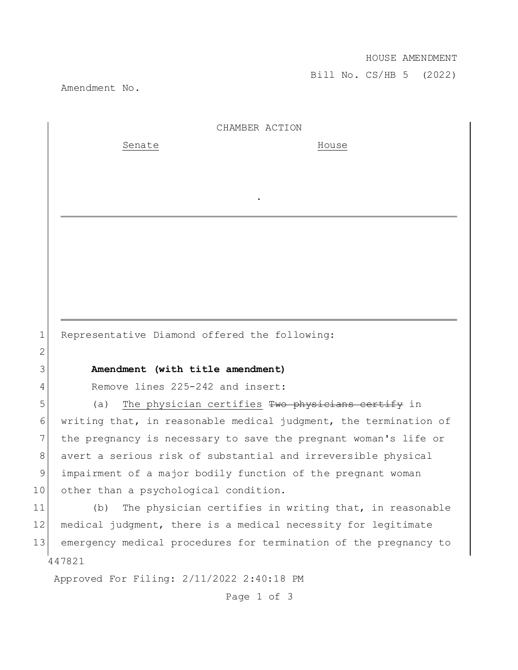## HOUSE AMENDMENT

Bill No. CS/HB 5 (2022)

Amendment No.

2

| CHAMBER ACTION |  |
|----------------|--|
|                |  |

.

Senate House

1 Representative Diamond offered the following:

## 3 **Amendment (with title amendment)**

4 Remove lines 225-242 and insert:

5 (a) The physician certifies Two physicians certify in writing that, in reasonable medical judgment, the termination of the pregnancy is necessary to save the pregnant woman's life or 8 avert a serious risk of substantial and irreversible physical impairment of a major bodily function of the pregnant woman other than a psychological condition.

447821 11 (b) The physician certifies in writing that, in reasonable 12 medical judgment, there is a medical necessity for legitimate 13 emergency medical procedures for termination of the pregnancy to

Approved For Filing: 2/11/2022 2:40:18 PM

Page 1 of 3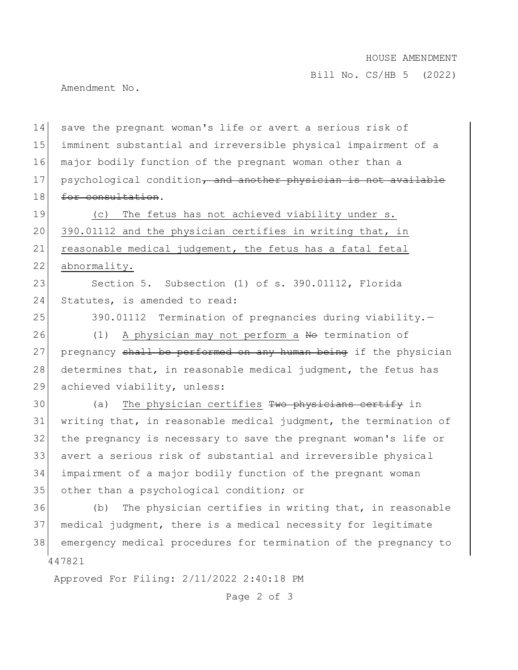## HOUSE AMENDMENT

Bill No. CS/HB 5 (2022)

Amendment No.

447821 Approved For Filing: 2/11/2022 2:40:18 PM 14 save the pregnant woman's life or avert a serious risk of 15 imminent substantial and irreversible physical impairment of a 16 major bodily function of the pregnant woman other than a 17 psychological condition, and another physician is not available 18 for consultation. 19 (c) The fetus has not achieved viability under s. 20 390.01112 and the physician certifies in writing that, in 21 reasonable medical judgement, the fetus has a fatal fetal 22 abnormality. 23 Section 5. Subsection (1) of s. 390.01112, Florida 24 Statutes, is amended to read: 25 390.01112 Termination of pregnancies during viability.-26 (1) A physician may not perform a No termination of 27 pregnancy shall be performed on any human being if the physician 28 determines that, in reasonable medical judgment, the fetus has 29 achieved viability, unless: 30 (a) The physician certifies Two physicians certify in 31 writing that, in reasonable medical judgment, the termination of 32 the pregnancy is necessary to save the pregnant woman's life or 33 avert a serious risk of substantial and irreversible physical 34 impairment of a major bodily function of the pregnant woman 35 other than a psychological condition; or 36 (b) The physician certifies in writing that, in reasonable 37 medical judgment, there is a medical necessity for legitimate 38 emergency medical procedures for termination of the pregnancy to

Page 2 of 3